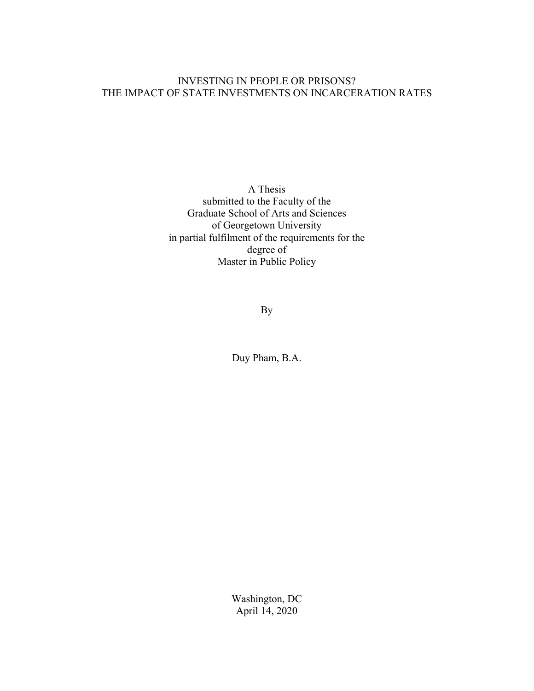# INVESTING IN PEOPLE OR PRISONS? THE IMPACT OF STATE INVESTMENTS ON INCARCERATION RATES

A Thesis submitted to the Faculty of the Graduate School of Arts and Sciences of Georgetown University in partial fulfilment of the requirements for the degree of Master in Public Policy

By

Duy Pham, B.A.

Washington, DC April 14, 2020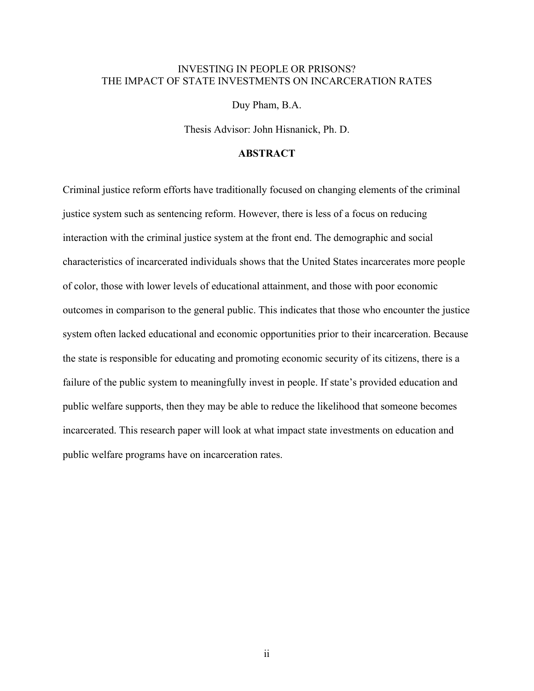# INVESTING IN PEOPLE OR PRISONS? THE IMPACT OF STATE INVESTMENTS ON INCARCERATION RATES

Duy Pham, B.A.

Thesis Advisor: John Hisnanick, Ph. D.

# **ABSTRACT**

Criminal justice reform efforts have traditionally focused on changing elements of the criminal justice system such as sentencing reform. However, there is less of a focus on reducing interaction with the criminal justice system at the front end. The demographic and social characteristics of incarcerated individuals shows that the United States incarcerates more people of color, those with lower levels of educational attainment, and those with poor economic outcomes in comparison to the general public. This indicates that those who encounter the justice system often lacked educational and economic opportunities prior to their incarceration. Because the state is responsible for educating and promoting economic security of its citizens, there is a failure of the public system to meaningfully invest in people. If state's provided education and public welfare supports, then they may be able to reduce the likelihood that someone becomes incarcerated. This research paper will look at what impact state investments on education and public welfare programs have on incarceration rates.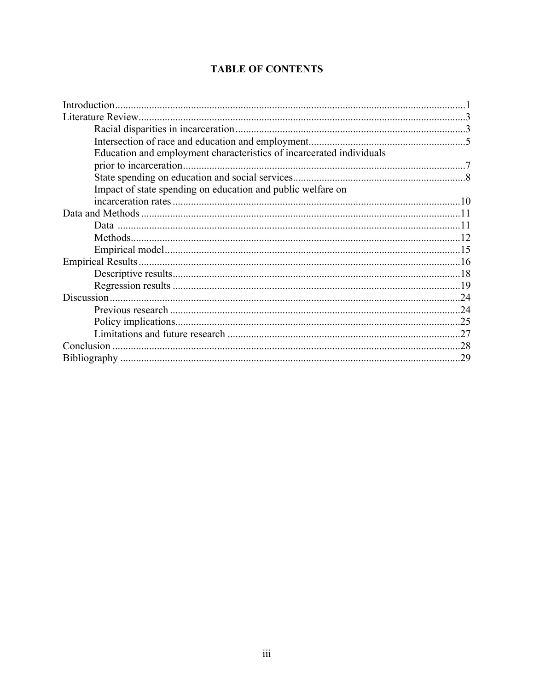# **TABLE OF CONTENTS**

| Education and employment characteristics of incarcerated individuals |  |
|----------------------------------------------------------------------|--|
|                                                                      |  |
|                                                                      |  |
| Impact of state spending on education and public welfare on          |  |
|                                                                      |  |
|                                                                      |  |
|                                                                      |  |
|                                                                      |  |
|                                                                      |  |
|                                                                      |  |
|                                                                      |  |
|                                                                      |  |
|                                                                      |  |
|                                                                      |  |
|                                                                      |  |
|                                                                      |  |
|                                                                      |  |
|                                                                      |  |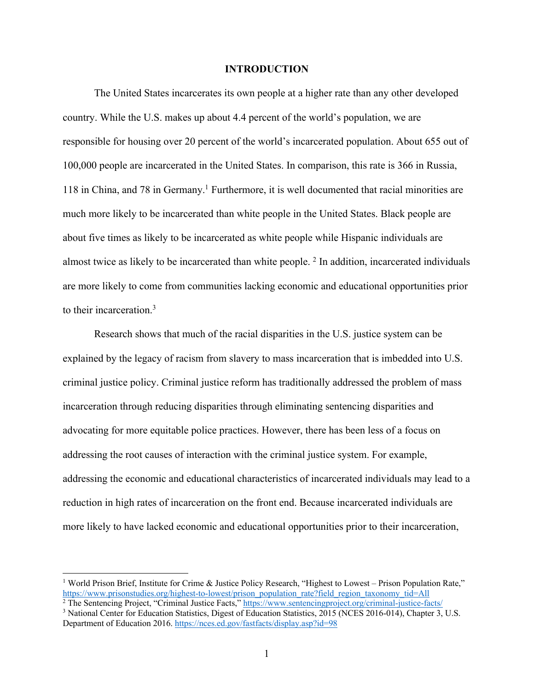#### **INTRODUCTION**

The United States incarcerates its own people at a higher rate than any other developed country. While the U.S. makes up about 4.4 percent of the world's population, we are responsible for housing over 20 percent of the world's incarcerated population. About 655 out of 100,000 people are incarcerated in the United States. In comparison, this rate is 366 in Russia,  $118$  in China, and 78 in Germany.<sup>1</sup> Furthermore, it is well documented that racial minorities are much more likely to be incarcerated than white people in the United States. Black people are about five times as likely to be incarcerated as white people while Hispanic individuals are almost twice as likely to be incarcerated than white people. 2 In addition, incarcerated individuals are more likely to come from communities lacking economic and educational opportunities prior to their incarceration. 3

Research shows that much of the racial disparities in the U.S. justice system can be explained by the legacy of racism from slavery to mass incarceration that is imbedded into U.S. criminal justice policy. Criminal justice reform has traditionally addressed the problem of mass incarceration through reducing disparities through eliminating sentencing disparities and advocating for more equitable police practices. However, there has been less of a focus on addressing the root causes of interaction with the criminal justice system. For example, addressing the economic and educational characteristics of incarcerated individuals may lead to a reduction in high rates of incarceration on the front end. Because incarcerated individuals are more likely to have lacked economic and educational opportunities prior to their incarceration,

<sup>&</sup>lt;sup>1</sup> World Prison Brief, Institute for Crime & Justice Policy Research, "Highest to Lowest – Prison Population Rate," https://www.prisonstudies.org/highest-to-lowest/prison\_population\_rate?field\_region\_taxonomy\_tid=All <sup>2</sup> The Sentencing Project, "Criminal Justice Facts," https://www.sentencingproject.org/criminal-justice-facts/

<sup>3</sup> National Center for Education Statistics, Digest of Education Statistics, 2015 (NCES 2016-014), Chapter 3, U.S. Department of Education 2016. https://nces.ed.gov/fastfacts/display.asp?id=98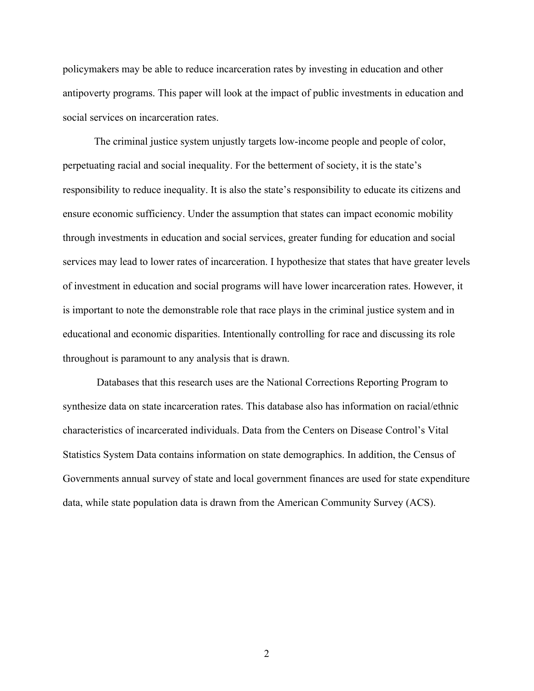policymakers may be able to reduce incarceration rates by investing in education and other antipoverty programs. This paper will look at the impact of public investments in education and social services on incarceration rates.

The criminal justice system unjustly targets low-income people and people of color, perpetuating racial and social inequality. For the betterment of society, it is the state's responsibility to reduce inequality. It is also the state's responsibility to educate its citizens and ensure economic sufficiency. Under the assumption that states can impact economic mobility through investments in education and social services, greater funding for education and social services may lead to lower rates of incarceration. I hypothesize that states that have greater levels of investment in education and social programs will have lower incarceration rates. However, it is important to note the demonstrable role that race plays in the criminal justice system and in educational and economic disparities. Intentionally controlling for race and discussing its role throughout is paramount to any analysis that is drawn.

Databases that this research uses are the National Corrections Reporting Program to synthesize data on state incarceration rates. This database also has information on racial/ethnic characteristics of incarcerated individuals. Data from the Centers on Disease Control's Vital Statistics System Data contains information on state demographics. In addition, the Census of Governments annual survey of state and local government finances are used for state expenditure data, while state population data is drawn from the American Community Survey (ACS).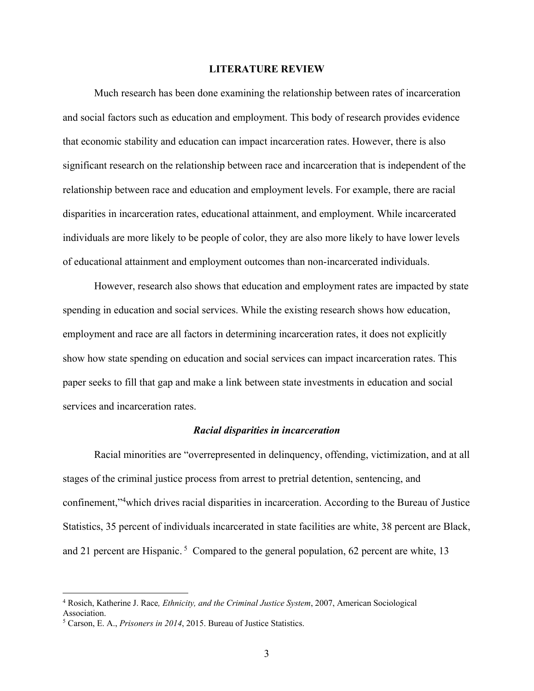#### **LITERATURE REVIEW**

Much research has been done examining the relationship between rates of incarceration and social factors such as education and employment. This body of research provides evidence that economic stability and education can impact incarceration rates. However, there is also significant research on the relationship between race and incarceration that is independent of the relationship between race and education and employment levels. For example, there are racial disparities in incarceration rates, educational attainment, and employment. While incarcerated individuals are more likely to be people of color, they are also more likely to have lower levels of educational attainment and employment outcomes than non-incarcerated individuals.

However, research also shows that education and employment rates are impacted by state spending in education and social services. While the existing research shows how education, employment and race are all factors in determining incarceration rates, it does not explicitly show how state spending on education and social services can impact incarceration rates. This paper seeks to fill that gap and make a link between state investments in education and social services and incarceration rates.

#### *Racial disparities in incarceration*

Racial minorities are "overrepresented in delinquency, offending, victimization, and at all stages of the criminal justice process from arrest to pretrial detention, sentencing, and confinement,"<sup>4</sup> which drives racial disparities in incarceration. According to the Bureau of Justice Statistics, 35 percent of individuals incarcerated in state facilities are white, 38 percent are Black, and 21 percent are Hispanic.<sup>5</sup> Compared to the general population, 62 percent are white, 13

<sup>4</sup> Rosich, Katherine J. Race*, Ethnicity, and the Criminal Justice System*, 2007, American Sociological Association.

<sup>5</sup> Carson, E. A., *Prisoners in 2014*, 2015. Bureau of Justice Statistics.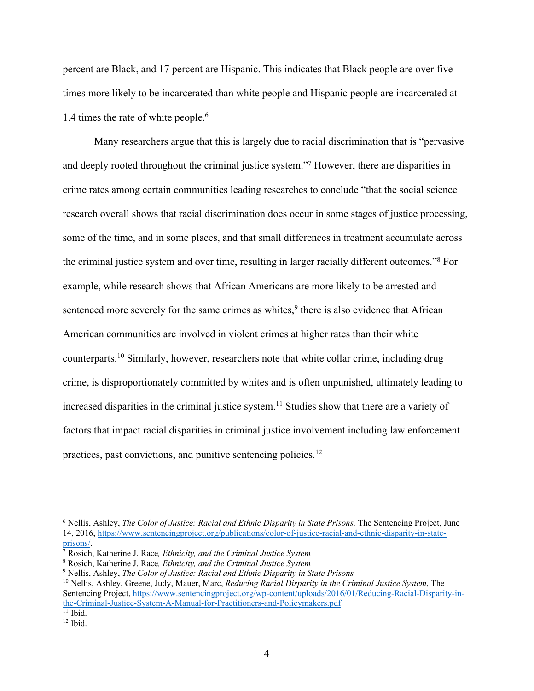percent are Black, and 17 percent are Hispanic. This indicates that Black people are over five times more likely to be incarcerated than white people and Hispanic people are incarcerated at 1.4 times the rate of white people.<sup>6</sup>

Many researchers argue that this is largely due to racial discrimination that is "pervasive and deeply rooted throughout the criminal justice system."7 However, there are disparities in crime rates among certain communities leading researches to conclude "that the social science research overall shows that racial discrimination does occur in some stages of justice processing, some of the time, and in some places, and that small differences in treatment accumulate across the criminal justice system and over time, resulting in larger racially different outcomes."8 For example, while research shows that African Americans are more likely to be arrested and sentenced more severely for the same crimes as whites, $9$  there is also evidence that African American communities are involved in violent crimes at higher rates than their white counterparts.10 Similarly, however, researchers note that white collar crime, including drug crime, is disproportionately committed by whites and is often unpunished, ultimately leading to increased disparities in the criminal justice system.<sup>11</sup> Studies show that there are a variety of factors that impact racial disparities in criminal justice involvement including law enforcement practices, past convictions, and punitive sentencing policies.12

<sup>6</sup> Nellis, Ashley, *The Color of Justice: Racial and Ethnic Disparity in State Prisons,* The Sentencing Project, June 14, 2016, https://www.sentencingproject.org/publications/color-of-justice-racial-and-ethnic-disparity-in-stateprisons/. 7 Rosich, Katherine J. Race*, Ethnicity, and the Criminal Justice System*

<sup>8</sup> Rosich, Katherine J. Race*, Ethnicity, and the Criminal Justice System*

<sup>9</sup> Nellis, Ashley, *The Color of Justice: Racial and Ethnic Disparity in State Prisons*

<sup>10</sup> Nellis, Ashley, Greene, Judy, Mauer, Marc, *Reducing Racial Disparity in the Criminal Justice System*, The Sentencing Project, https://www.sentencingproject.org/wp-content/uploads/2016/01/Reducing-Racial-Disparity-inthe-Criminal-Justice-System-A-Manual-for-Practitioners-and-Policymakers.pdf<br><sup>11</sup> Ibid.

 $12$  Ibid.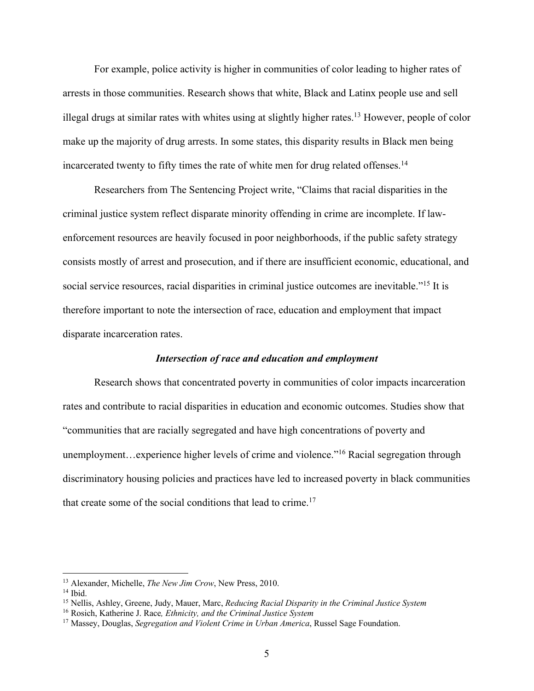For example, police activity is higher in communities of color leading to higher rates of arrests in those communities. Research shows that white, Black and Latinx people use and sell illegal drugs at similar rates with whites using at slightly higher rates.13 However, people of color make up the majority of drug arrests. In some states, this disparity results in Black men being incarcerated twenty to fifty times the rate of white men for drug related offenses.14

Researchers from The Sentencing Project write, "Claims that racial disparities in the criminal justice system reflect disparate minority offending in crime are incomplete. If lawenforcement resources are heavily focused in poor neighborhoods, if the public safety strategy consists mostly of arrest and prosecution, and if there are insufficient economic, educational, and social service resources, racial disparities in criminal justice outcomes are inevitable."<sup>15</sup> It is therefore important to note the intersection of race, education and employment that impact disparate incarceration rates.

#### *Intersection of race and education and employment*

Research shows that concentrated poverty in communities of color impacts incarceration rates and contribute to racial disparities in education and economic outcomes. Studies show that "communities that are racially segregated and have high concentrations of poverty and unemployment…experience higher levels of crime and violence."<sup>16</sup> Racial segregation through discriminatory housing policies and practices have led to increased poverty in black communities that create some of the social conditions that lead to crime.<sup>17</sup>

<sup>13</sup> Alexander, Michelle, *The New Jim Crow*, New Press, 2010.

 $14$  Ibid.

<sup>15</sup> Nellis, Ashley, Greene, Judy, Mauer, Marc, *Reducing Racial Disparity in the Criminal Justice System*

<sup>16</sup> Rosich, Katherine J. Race*, Ethnicity, and the Criminal Justice System*

<sup>17</sup> Massey, Douglas, *Segregation and Violent Crime in Urban America*, Russel Sage Foundation.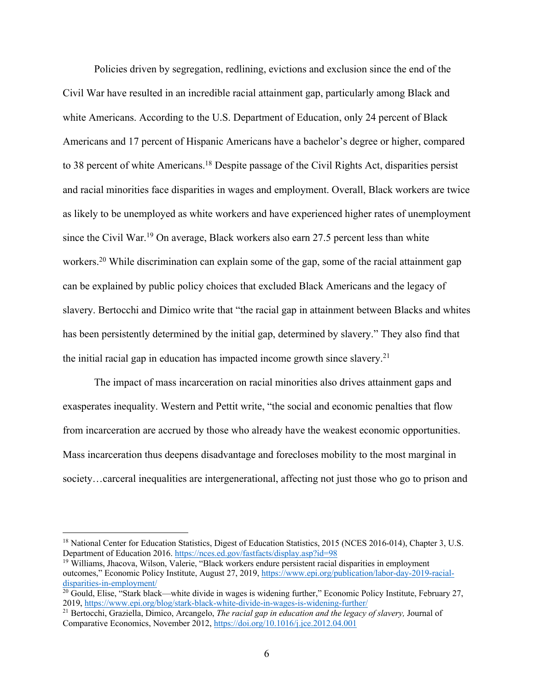Policies driven by segregation, redlining, evictions and exclusion since the end of the Civil War have resulted in an incredible racial attainment gap, particularly among Black and white Americans. According to the U.S. Department of Education, only 24 percent of Black Americans and 17 percent of Hispanic Americans have a bachelor's degree or higher, compared to 38 percent of white Americans.18 Despite passage of the Civil Rights Act, disparities persist and racial minorities face disparities in wages and employment. Overall, Black workers are twice as likely to be unemployed as white workers and have experienced higher rates of unemployment since the Civil War.<sup>19</sup> On average, Black workers also earn 27.5 percent less than white workers.<sup>20</sup> While discrimination can explain some of the gap, some of the racial attainment gap can be explained by public policy choices that excluded Black Americans and the legacy of slavery. Bertocchi and Dimico write that "the racial gap in attainment between Blacks and whites has been persistently determined by the initial gap, determined by slavery." They also find that the initial racial gap in education has impacted income growth since slavery.<sup>21</sup>

The impact of mass incarceration on racial minorities also drives attainment gaps and exasperates inequality. Western and Pettit write, "the social and economic penalties that flow from incarceration are accrued by those who already have the weakest economic opportunities. Mass incarceration thus deepens disadvantage and forecloses mobility to the most marginal in society…carceral inequalities are intergenerational, affecting not just those who go to prison and

<sup>&</sup>lt;sup>18</sup> National Center for Education Statistics, Digest of Education Statistics, 2015 (NCES 2016-014), Chapter 3, U.S. Department of Education 2016. https://nces.ed.gov/fastfacts/display.asp?id=98

<sup>19</sup> Williams, Jhacova, Wilson, Valerie, "Black workers endure persistent racial disparities in employment outcomes," Economic Policy Institute, August 27, 2019, https://www.epi.org/publication/labor-day-2019-racialdisparities-in-employment/

 $^{20}$  Gould, Elise, "Stark black—white divide in wages is widening further," Economic Policy Institute, February 27, 2019, https://www.epi.org/blog/stark-black-white-divide-in-wages-is-widening-further/

<sup>&</sup>lt;sup>21</sup> Bertocchi, Graziella, Dimico, Arcangelo, *The racial gap in education and the legacy of slavery*, Journal of Comparative Economics, November 2012, https://doi.org/10.1016/j.jce.2012.04.001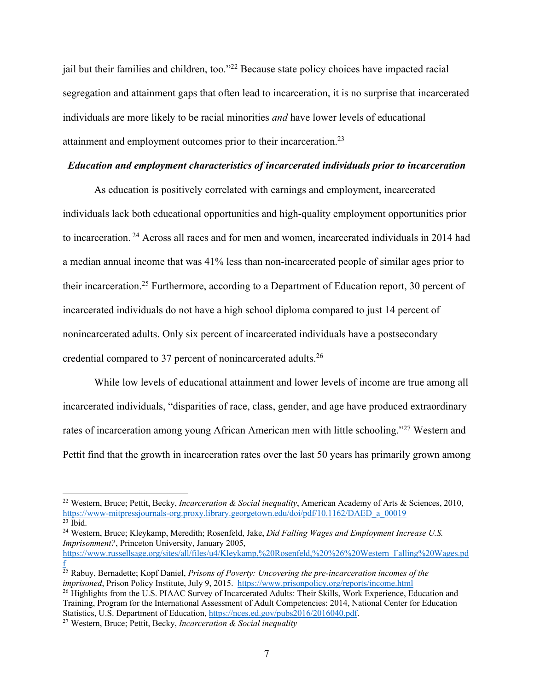jail but their families and children, too."<sup>22</sup> Because state policy choices have impacted racial segregation and attainment gaps that often lead to incarceration, it is no surprise that incarcerated individuals are more likely to be racial minorities *and* have lower levels of educational attainment and employment outcomes prior to their incarceration.23

## *Education and employment characteristics of incarcerated individuals prior to incarceration*

As education is positively correlated with earnings and employment, incarcerated individuals lack both educational opportunities and high-quality employment opportunities prior to incarceration. <sup>24</sup> Across all races and for men and women, incarcerated individuals in 2014 had a median annual income that was 41% less than non-incarcerated people of similar ages prior to their incarceration.<sup>25</sup> Furthermore, according to a Department of Education report, 30 percent of incarcerated individuals do not have a high school diploma compared to just 14 percent of nonincarcerated adults. Only six percent of incarcerated individuals have a postsecondary credential compared to 37 percent of nonincarcerated adults.26

While low levels of educational attainment and lower levels of income are true among all incarcerated individuals, "disparities of race, class, gender, and age have produced extraordinary rates of incarceration among young African American men with little schooling."<sup>27</sup> Western and Pettit find that the growth in incarceration rates over the last 50 years has primarily grown among

<sup>25</sup> Rabuy, Bernadette; Kopf Daniel, *Prisons of Poverty: Uncovering the pre-incarceration incomes of the imprisoned*, Prison Policy Institute, July 9, 2015. https://www.prisonpolicy.org/reports/income.html

<sup>22</sup> Western, Bruce; Pettit, Becky, *Incarceration & Social inequality*, American Academy of Arts & Sciences, 2010, https://www-mitpressjournals-org.proxy.library.georgetown.edu/doi/pdf/10.1162/DAED\_a\_00019<br><sup>23</sup> Ibid

<sup>&</sup>lt;sup>24</sup> Western, Bruce; Kleykamp, Meredith; Rosenfeld, Jake, *Did Falling Wages and Employment Increase U.S. Imprisonment?*, Princeton University, January 2005, https://www.russellsage.org/sites/all/files/u4/Kleykamp,%20Rosenfeld,%20%26%20Western\_Falling%20Wages.pd f

<sup>&</sup>lt;sup>26</sup> Highlights from the U.S. PIAAC Survey of Incarcerated Adults: Their Skills, Work Experience, Education and Training, Program for the International Assessment of Adult Competencies: 2014, National Center for Education Statistics, U.S. Department of Education, https://nces.ed.gov/pubs2016/2016040.pdf. 27 Western, Bruce; Pettit, Becky, *Incarceration & Social inequality*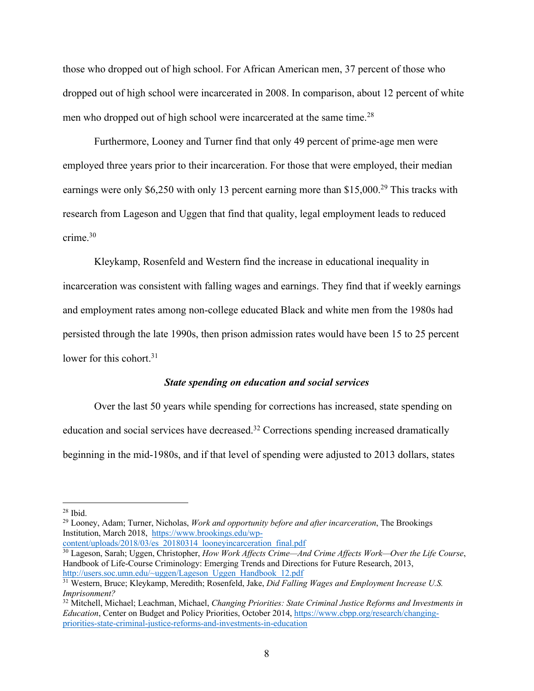those who dropped out of high school. For African American men, 37 percent of those who dropped out of high school were incarcerated in 2008. In comparison, about 12 percent of white men who dropped out of high school were incarcerated at the same time.28

Furthermore, Looney and Turner find that only 49 percent of prime-age men were employed three years prior to their incarceration. For those that were employed, their median earnings were only \$6,250 with only 13 percent earning more than \$15,000.<sup>29</sup> This tracks with research from Lageson and Uggen that find that quality, legal employment leads to reduced crime.30

Kleykamp, Rosenfeld and Western find the increase in educational inequality in incarceration was consistent with falling wages and earnings. They find that if weekly earnings and employment rates among non-college educated Black and white men from the 1980s had persisted through the late 1990s, then prison admission rates would have been 15 to 25 percent lower for this cohort.<sup>31</sup>

## *State spending on education and social services*

Over the last 50 years while spending for corrections has increased, state spending on education and social services have decreased.<sup>32</sup> Corrections spending increased dramatically beginning in the mid-1980s, and if that level of spending were adjusted to 2013 dollars, states

<sup>29</sup> Looney, Adam; Turner, Nicholas, *Work and opportunity before and after incarceration*, The Brookings Institution, March 2018, https://www.brookings.edu/wp-

content/uploads/2018/03/es<sup>20180314</sup> looneyincarceration final.pdf

<sup>30</sup> Lageson, Sarah; Uggen, Christopher, *How Work Affects Crime—And Crime Affects Work—Over the Life Course*, Handbook of Life-Course Criminology: Emerging Trends and Directions for Future Research, 2013, http://users.soc.umn.edu/~uggen/Lageson\_Uggen\_Handbook\_12.pdf

 $28$  Ibid.

<sup>31</sup> Western, Bruce; Kleykamp, Meredith; Rosenfeld, Jake, *Did Falling Wages and Employment Increase U.S. Imprisonment?*

<sup>32</sup> Mitchell, Michael; Leachman, Michael, *Changing Priorities: State Criminal Justice Reforms and Investments in Education*, Center on Budget and Policy Priorities, October 2014, https://www.cbpp.org/research/changingpriorities-state-criminal-justice-reforms-and-investments-in-education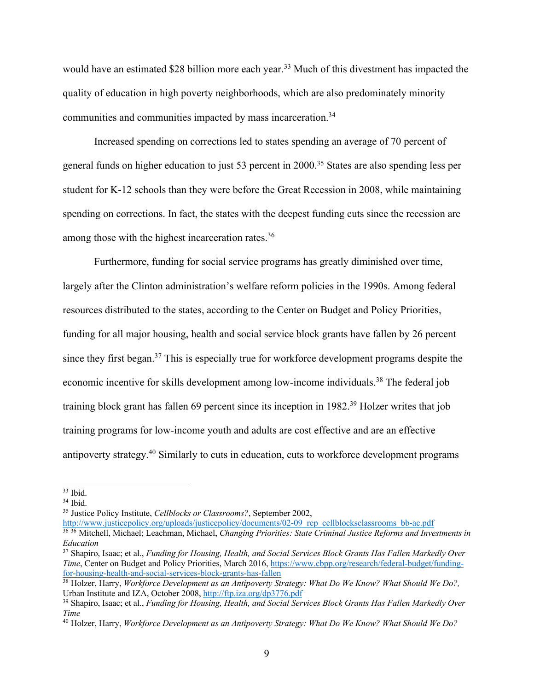would have an estimated \$28 billion more each year.<sup>33</sup> Much of this divestment has impacted the quality of education in high poverty neighborhoods, which are also predominately minority communities and communities impacted by mass incarceration.<sup>34</sup>

Increased spending on corrections led to states spending an average of 70 percent of general funds on higher education to just 53 percent in 2000.35 States are also spending less per student for K-12 schools than they were before the Great Recession in 2008, while maintaining spending on corrections. In fact, the states with the deepest funding cuts since the recession are among those with the highest incarceration rates.<sup>36</sup>

Furthermore, funding for social service programs has greatly diminished over time, largely after the Clinton administration's welfare reform policies in the 1990s. Among federal resources distributed to the states, according to the Center on Budget and Policy Priorities, funding for all major housing, health and social service block grants have fallen by 26 percent since they first began.37 This is especially true for workforce development programs despite the economic incentive for skills development among low-income individuals.<sup>38</sup> The federal job training block grant has fallen 69 percent since its inception in 1982.39 Holzer writes that job training programs for low-income youth and adults are cost effective and are an effective antipoverty strategy.40 Similarly to cuts in education, cuts to workforce development programs

<sup>35</sup> Justice Policy Institute, *Cellblocks or Classrooms?*, September 2002,

http://www.justicepolicy.org/uploads/justicepolicy/documents/02-09\_rep\_cellblocksclassrooms\_bb-ac.pdf <sup>36</sup> <sup>36</sup> Mitchell, Michael; Leachman, Michael, *Changing Priorities: State Criminal Justice Reforms and Investments in Education*

 $33$  Ibid.<br> $34$  Ibid.

<sup>37</sup> Shapiro, Isaac; et al., *Funding for Housing, Health, and Social Services Block Grants Has Fallen Markedly Over Time*, Center on Budget and Policy Priorities, March 2016, https://www.cbpp.org/research/federal-budget/fundingfor-housing-health-and-social-services-block-grants-has-fallen

<sup>38</sup> Holzer, Harry, *Workforce Development as an Antipoverty Strategy: What Do We Know? What Should We Do?,*  Urban Institute and IZA, October 2008, http://ftp.iza.org/dp3776.pdf

<sup>39</sup> Shapiro, Isaac; et al., *Funding for Housing, Health, and Social Services Block Grants Has Fallen Markedly Over Time*

<sup>40</sup> Holzer, Harry, *Workforce Development as an Antipoverty Strategy: What Do We Know? What Should We Do?*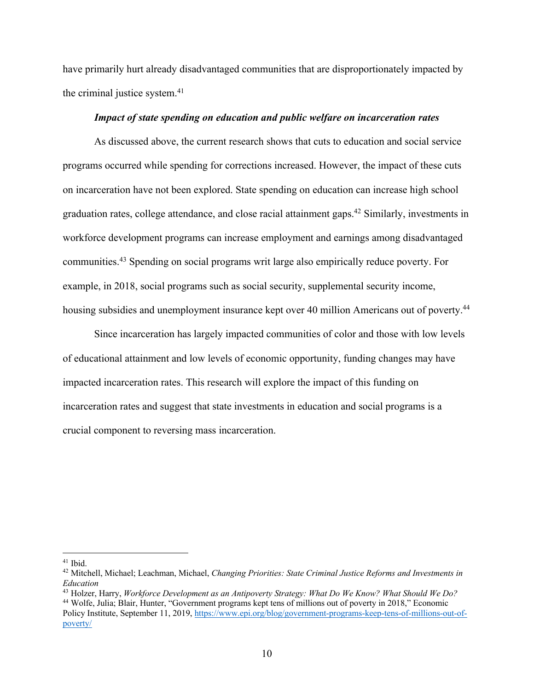have primarily hurt already disadvantaged communities that are disproportionately impacted by the criminal justice system.41

#### *Impact of state spending on education and public welfare on incarceration rates*

As discussed above, the current research shows that cuts to education and social service programs occurred while spending for corrections increased. However, the impact of these cuts on incarceration have not been explored. State spending on education can increase high school graduation rates, college attendance, and close racial attainment gaps.42 Similarly, investments in workforce development programs can increase employment and earnings among disadvantaged communities.43 Spending on social programs writ large also empirically reduce poverty. For example, in 2018, social programs such as social security, supplemental security income, housing subsidies and unemployment insurance kept over 40 million Americans out of poverty.<sup>44</sup>

Since incarceration has largely impacted communities of color and those with low levels of educational attainment and low levels of economic opportunity, funding changes may have impacted incarceration rates. This research will explore the impact of this funding on incarceration rates and suggest that state investments in education and social programs is a crucial component to reversing mass incarceration.

<sup>43</sup> Holzer, Harry, *Workforce Development as an Antipoverty Strategy: What Do We Know? What Should We Do?*

<sup>&</sup>lt;sup>41</sup> Ibid.<br><sup>42</sup> Mitchell, Michael; Leachman, Michael, *Changing Priorities: State Criminal Justice Reforms and Investments in Education*

<sup>44</sup> Wolfe, Julia; Blair, Hunter, "Government programs kept tens of millions out of poverty in 2018," Economic Policy Institute, September 11, 2019, https://www.epi.org/blog/government-programs-keep-tens-of-millions-out-ofpoverty/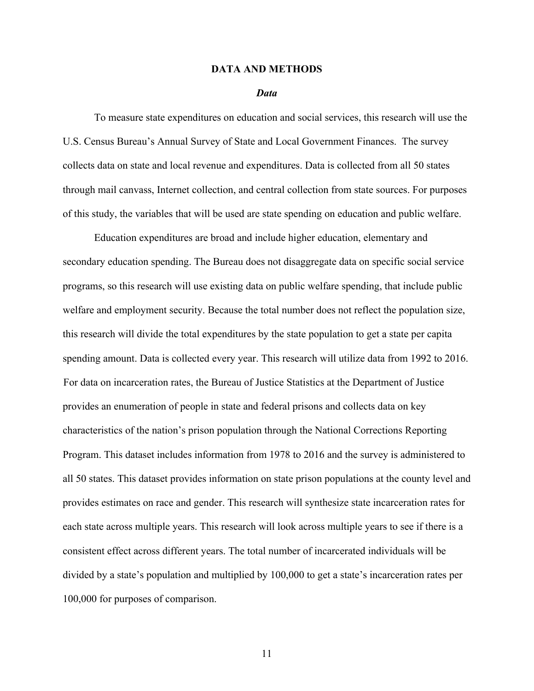#### **DATA AND METHODS**

#### *Data*

To measure state expenditures on education and social services, this research will use the U.S. Census Bureau's Annual Survey of State and Local Government Finances. The survey collects data on state and local revenue and expenditures. Data is collected from all 50 states through mail canvass, Internet collection, and central collection from state sources. For purposes of this study, the variables that will be used are state spending on education and public welfare.

Education expenditures are broad and include higher education, elementary and secondary education spending. The Bureau does not disaggregate data on specific social service programs, so this research will use existing data on public welfare spending, that include public welfare and employment security. Because the total number does not reflect the population size, this research will divide the total expenditures by the state population to get a state per capita spending amount. Data is collected every year. This research will utilize data from 1992 to 2016. For data on incarceration rates, the Bureau of Justice Statistics at the Department of Justice provides an enumeration of people in state and federal prisons and collects data on key characteristics of the nation's prison population through the National Corrections Reporting Program. This dataset includes information from 1978 to 2016 and the survey is administered to all 50 states. This dataset provides information on state prison populations at the county level and provides estimates on race and gender. This research will synthesize state incarceration rates for each state across multiple years. This research will look across multiple years to see if there is a consistent effect across different years. The total number of incarcerated individuals will be divided by a state's population and multiplied by 100,000 to get a state's incarceration rates per 100,000 for purposes of comparison.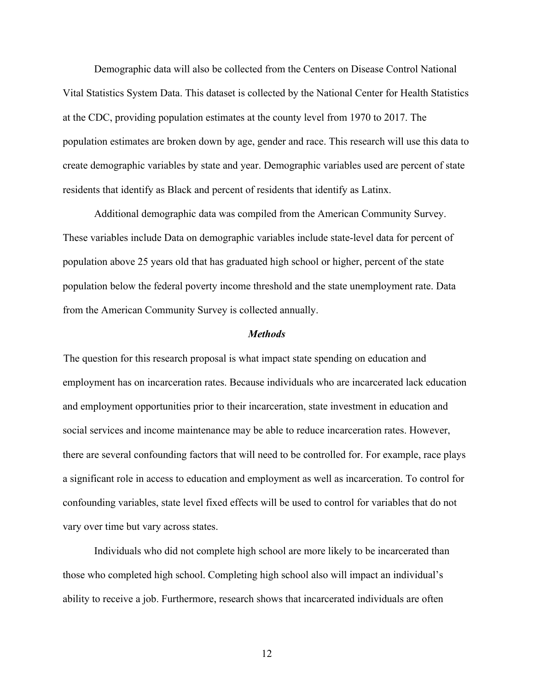Demographic data will also be collected from the Centers on Disease Control National Vital Statistics System Data. This dataset is collected by the National Center for Health Statistics at the CDC, providing population estimates at the county level from 1970 to 2017. The population estimates are broken down by age, gender and race. This research will use this data to create demographic variables by state and year. Demographic variables used are percent of state residents that identify as Black and percent of residents that identify as Latinx.

Additional demographic data was compiled from the American Community Survey. These variables include Data on demographic variables include state-level data for percent of population above 25 years old that has graduated high school or higher, percent of the state population below the federal poverty income threshold and the state unemployment rate. Data from the American Community Survey is collected annually.

#### *Methods*

The question for this research proposal is what impact state spending on education and employment has on incarceration rates. Because individuals who are incarcerated lack education and employment opportunities prior to their incarceration, state investment in education and social services and income maintenance may be able to reduce incarceration rates. However, there are several confounding factors that will need to be controlled for. For example, race plays a significant role in access to education and employment as well as incarceration. To control for confounding variables, state level fixed effects will be used to control for variables that do not vary over time but vary across states.

Individuals who did not complete high school are more likely to be incarcerated than those who completed high school. Completing high school also will impact an individual's ability to receive a job. Furthermore, research shows that incarcerated individuals are often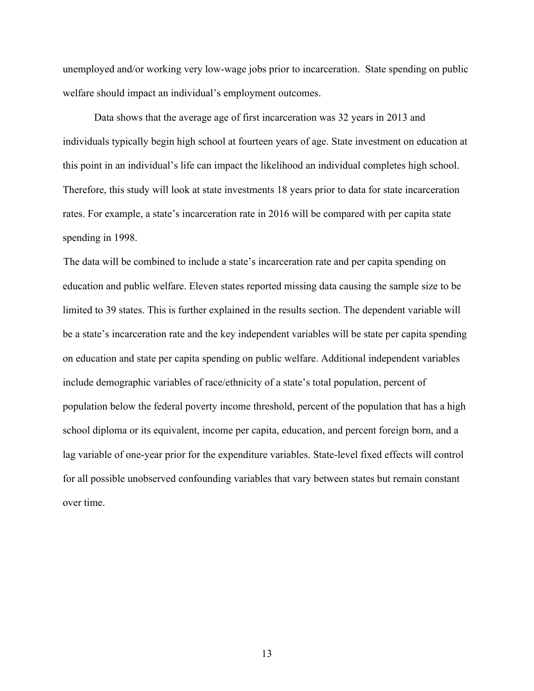unemployed and/or working very low-wage jobs prior to incarceration. State spending on public welfare should impact an individual's employment outcomes.

Data shows that the average age of first incarceration was 32 years in 2013 and individuals typically begin high school at fourteen years of age. State investment on education at this point in an individual's life can impact the likelihood an individual completes high school. Therefore, this study will look at state investments 18 years prior to data for state incarceration rates. For example, a state's incarceration rate in 2016 will be compared with per capita state spending in 1998.

The data will be combined to include a state's incarceration rate and per capita spending on education and public welfare. Eleven states reported missing data causing the sample size to be limited to 39 states. This is further explained in the results section. The dependent variable will be a state's incarceration rate and the key independent variables will be state per capita spending on education and state per capita spending on public welfare. Additional independent variables include demographic variables of race/ethnicity of a state's total population, percent of population below the federal poverty income threshold, percent of the population that has a high school diploma or its equivalent, income per capita, education, and percent foreign born, and a lag variable of one-year prior for the expenditure variables. State-level fixed effects will control for all possible unobserved confounding variables that vary between states but remain constant over time.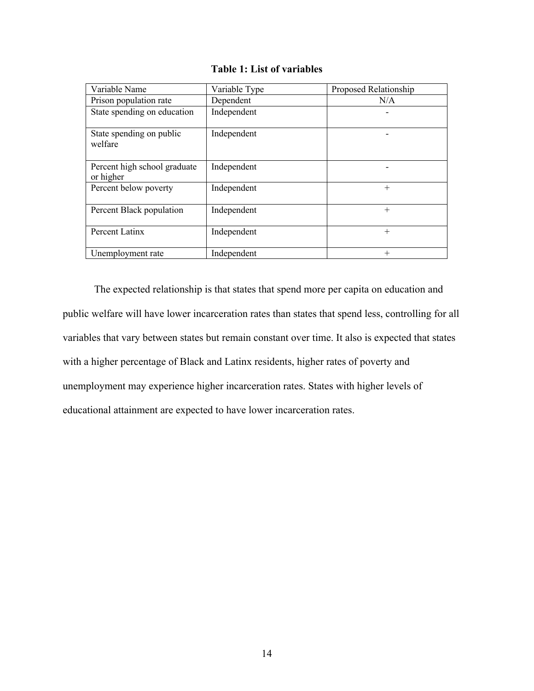| Variable Name                             | Variable Type | Proposed Relationship |
|-------------------------------------------|---------------|-----------------------|
| Prison population rate                    | Dependent     | N/A                   |
| State spending on education               | Independent   |                       |
| State spending on public<br>welfare       | Independent   |                       |
| Percent high school graduate<br>or higher | Independent   |                       |
| Percent below poverty                     | Independent   | $+$                   |
| Percent Black population                  | Independent   | $^{+}$                |
| Percent Latinx                            | Independent   | $^{+}$                |
| Unemployment rate                         | Independent   | $^{+}$                |

**Table 1: List of variables**

The expected relationship is that states that spend more per capita on education and public welfare will have lower incarceration rates than states that spend less, controlling for all variables that vary between states but remain constant over time. It also is expected that states with a higher percentage of Black and Latinx residents, higher rates of poverty and unemployment may experience higher incarceration rates. States with higher levels of educational attainment are expected to have lower incarceration rates.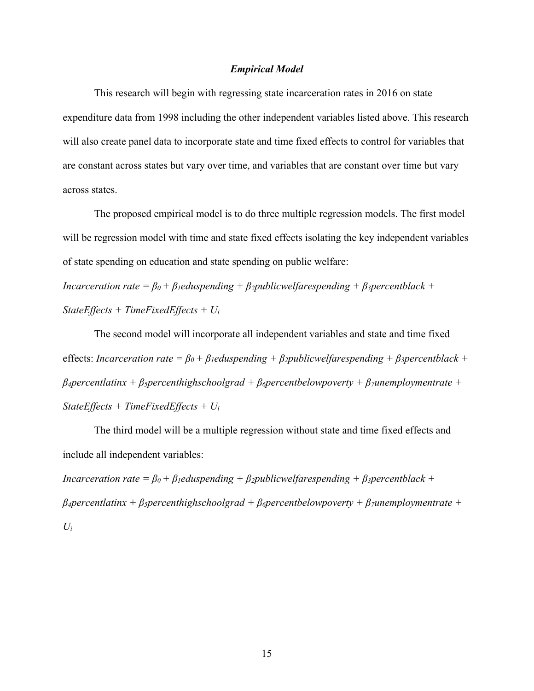## *Empirical Model*

This research will begin with regressing state incarceration rates in 2016 on state expenditure data from 1998 including the other independent variables listed above. This research will also create panel data to incorporate state and time fixed effects to control for variables that are constant across states but vary over time, and variables that are constant over time but vary across states.

The proposed empirical model is to do three multiple regression models. The first model will be regression model with time and state fixed effects isolating the key independent variables of state spending on education and state spending on public welfare:

*Incarceration rate =*  $\beta_0 + \beta_1$ *eduspending +*  $\beta_2$ *publicwelfarespending +*  $\beta_3$ *percentblack + StateEffects + TimeFixedEffects + Ui*

The second model will incorporate all independent variables and state and time fixed effects: *Incarceration rate* =  $\beta_0 + \beta_1$ *eduspending* +  $\beta_2$ *publicwelfarespending* +  $\beta_3$ *percentblack* + *β4percentlatinx + β5percenthighschoolgrad + β6percentbelowpoverty + β7unemploymentrate + StateEffects + TimeFixedEffects + Ui*

The third model will be a multiple regression without state and time fixed effects and include all independent variables:

*Incarceration rate =*  $\beta_0 + \beta_1$ *eduspending +*  $\beta_2$ *publicwelfarespending +*  $\beta_3$ *percentblack + β4percentlatinx + β5percenthighschoolgrad + β6percentbelowpoverty + β7unemploymentrate +*   $U_i$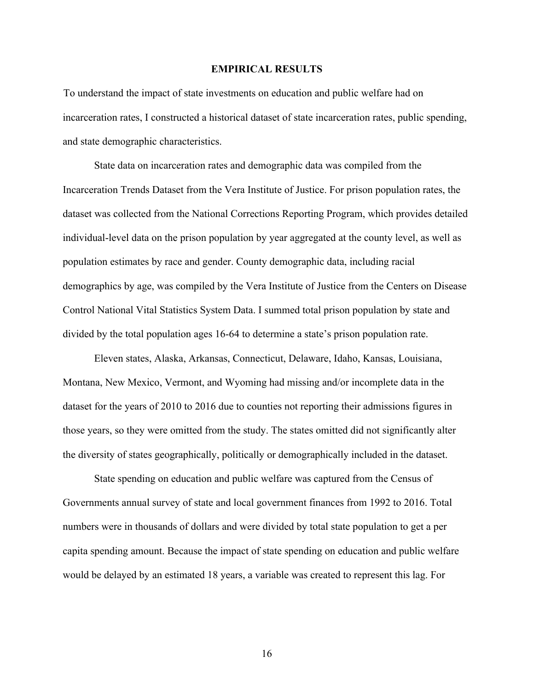#### **EMPIRICAL RESULTS**

To understand the impact of state investments on education and public welfare had on incarceration rates, I constructed a historical dataset of state incarceration rates, public spending, and state demographic characteristics.

State data on incarceration rates and demographic data was compiled from the Incarceration Trends Dataset from the Vera Institute of Justice. For prison population rates, the dataset was collected from the National Corrections Reporting Program, which provides detailed individual-level data on the prison population by year aggregated at the county level, as well as population estimates by race and gender. County demographic data, including racial demographics by age, was compiled by the Vera Institute of Justice from the Centers on Disease Control National Vital Statistics System Data. I summed total prison population by state and divided by the total population ages 16-64 to determine a state's prison population rate.

Eleven states, Alaska, Arkansas, Connecticut, Delaware, Idaho, Kansas, Louisiana, Montana, New Mexico, Vermont, and Wyoming had missing and/or incomplete data in the dataset for the years of 2010 to 2016 due to counties not reporting their admissions figures in those years, so they were omitted from the study. The states omitted did not significantly alter the diversity of states geographically, politically or demographically included in the dataset.

State spending on education and public welfare was captured from the Census of Governments annual survey of state and local government finances from 1992 to 2016. Total numbers were in thousands of dollars and were divided by total state population to get a per capita spending amount. Because the impact of state spending on education and public welfare would be delayed by an estimated 18 years, a variable was created to represent this lag. For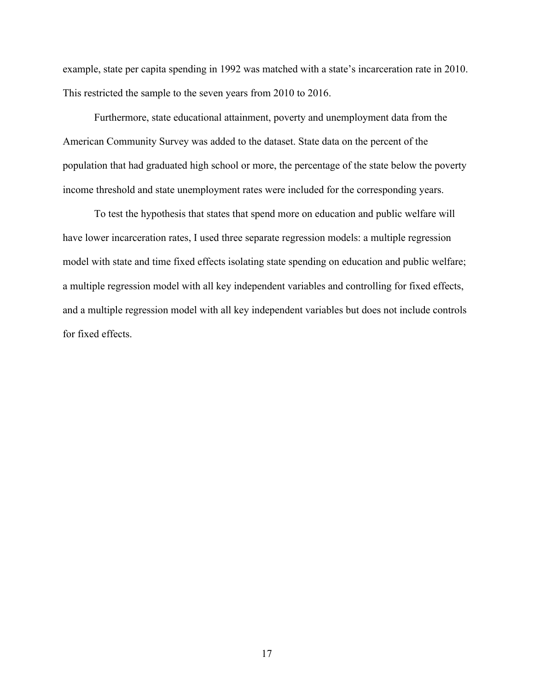example, state per capita spending in 1992 was matched with a state's incarceration rate in 2010. This restricted the sample to the seven years from 2010 to 2016.

Furthermore, state educational attainment, poverty and unemployment data from the American Community Survey was added to the dataset. State data on the percent of the population that had graduated high school or more, the percentage of the state below the poverty income threshold and state unemployment rates were included for the corresponding years.

To test the hypothesis that states that spend more on education and public welfare will have lower incarceration rates, I used three separate regression models: a multiple regression model with state and time fixed effects isolating state spending on education and public welfare; a multiple regression model with all key independent variables and controlling for fixed effects, and a multiple regression model with all key independent variables but does not include controls for fixed effects.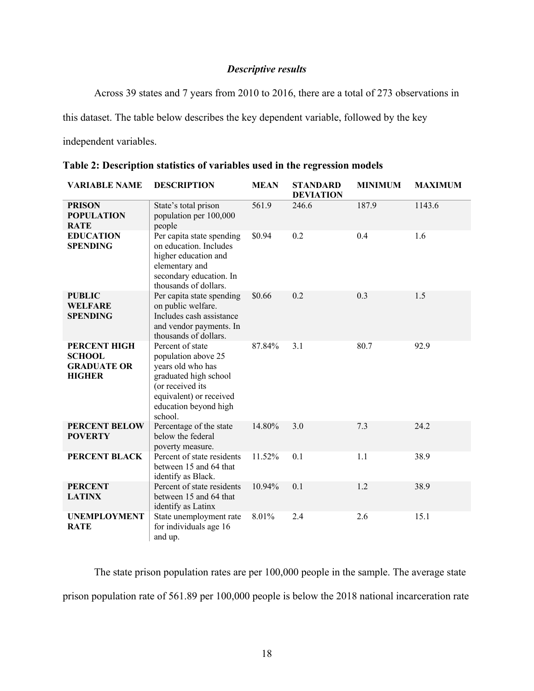# *Descriptive results*

Across 39 states and 7 years from 2010 to 2016, there are a total of 273 observations in

this dataset. The table below describes the key dependent variable, followed by the key

independent variables.

| <b>VARIABLE NAME</b>                                                 | <b>DESCRIPTION</b>                                                                                                                                                       | <b>MEAN</b> | <b>STANDARD</b><br><b>DEVIATION</b> | <b>MINIMUM</b> | <b>MAXIMUM</b> |
|----------------------------------------------------------------------|--------------------------------------------------------------------------------------------------------------------------------------------------------------------------|-------------|-------------------------------------|----------------|----------------|
| <b>PRISON</b><br><b>POPULATION</b><br><b>RATE</b>                    | State's total prison<br>population per 100,000<br>people                                                                                                                 | 561.9       | 246.6                               | 187.9          | 1143.6         |
| <b>EDUCATION</b><br><b>SPENDING</b>                                  | Per capita state spending<br>on education. Includes<br>higher education and<br>elementary and<br>secondary education. In<br>thousands of dollars.                        | \$0.94      | 0.2                                 | 0.4            | 1.6            |
| <b>PUBLIC</b><br><b>WELFARE</b><br><b>SPENDING</b>                   | Per capita state spending<br>on public welfare.<br>Includes cash assistance<br>and vendor payments. In<br>thousands of dollars.                                          | \$0.66      | 0.2                                 | 0.3            | 1.5            |
| PERCENT HIGH<br><b>SCHOOL</b><br><b>GRADUATE OR</b><br><b>HIGHER</b> | Percent of state<br>population above 25<br>years old who has<br>graduated high school<br>(or received its<br>equivalent) or received<br>education beyond high<br>school. | 87.84%      | 3.1                                 | 80.7           | 92.9           |
| <b>PERCENT BELOW</b><br><b>POVERTY</b>                               | Percentage of the state<br>below the federal<br>poverty measure.                                                                                                         | 14.80%      | 3.0                                 | 7.3            | 24.2           |
| PERCENT BLACK                                                        | Percent of state residents<br>between 15 and 64 that<br>identify as Black.                                                                                               | 11.52%      | 0.1                                 | 1.1            | 38.9           |
| <b>PERCENT</b><br><b>LATINX</b>                                      | Percent of state residents<br>between 15 and 64 that<br>identify as Latinx                                                                                               | 10.94%      | 0.1                                 | 1.2            | 38.9           |
| <b>UNEMPLOYMENT</b><br><b>RATE</b>                                   | State unemployment rate<br>for individuals age 16<br>and up.                                                                                                             | 8.01%       | 2.4                                 | 2.6            | 15.1           |

**Table 2: Description statistics of variables used in the regression models**

The state prison population rates are per 100,000 people in the sample. The average state prison population rate of 561.89 per 100,000 people is below the 2018 national incarceration rate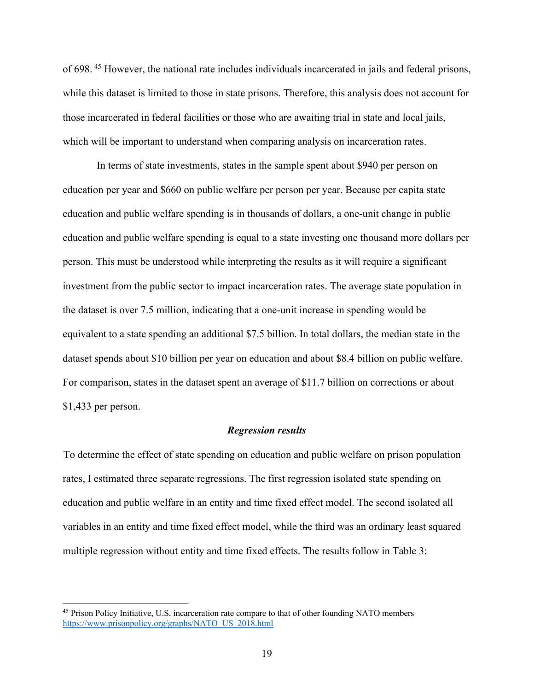of 698. <sup>45</sup> However, the national rate includes individuals incarcerated in jails and federal prisons, while this dataset is limited to those in state prisons. Therefore, this analysis does not account for those incarcerated in federal facilities or those who are awaiting trial in state and local jails, which will be important to understand when comparing analysis on incarceration rates.

In terms of state investments, states in the sample spent about \$940 per person on education per year and \$660 on public welfare per person per year. Because per capita state education and public welfare spending is in thousands of dollars, a one-unit change in public education and public welfare spending is equal to a state investing one thousand more dollars per person. This must be understood while interpreting the results as it will require a significant investment from the public sector to impact incarceration rates. The average state population in the dataset is over 7.5 million, indicating that a one-unit increase in spending would be equivalent to a state spending an additional \$7.5 billion. In total dollars, the median state in the dataset spends about \$10 billion per year on education and about \$8.4 billion on public welfare. For comparison, states in the dataset spent an average of \$11.7 billion on corrections or about \$1,433 per person.

#### *Regression results*

To determine the effect of state spending on education and public welfare on prison population rates, I estimated three separate regressions. The first regression isolated state spending on education and public welfare in an entity and time fixed effect model. The second isolated all variables in an entity and time fixed effect model, while the third was an ordinary least squared multiple regression without entity and time fixed effects. The results follow in Table 3:

<sup>&</sup>lt;sup>45</sup> Prison Policy Initiative, U.S. incarceration rate compare to that of other founding NATO members https://www.prisonpolicy.org/graphs/NATO\_US\_2018.html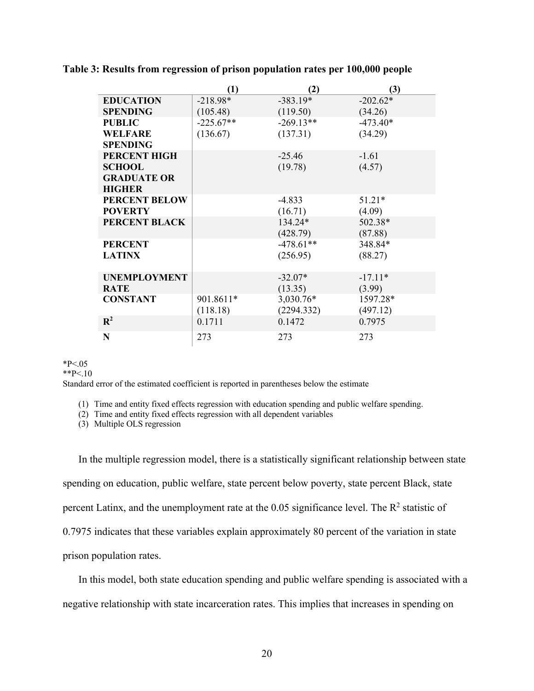|  | Table 3: Results from regression of prison population rates per 100,000 people |  |  |  |  |  |
|--|--------------------------------------------------------------------------------|--|--|--|--|--|
|  |                                                                                |  |  |  |  |  |

|                      | $\left(1\right)$ | (2)         | (3)        |
|----------------------|------------------|-------------|------------|
| <b>EDUCATION</b>     | $-218.98*$       | $-383.19*$  | $-202.62*$ |
| <b>SPENDING</b>      | (105.48)         | (119.50)    | (34.26)    |
| <b>PUBLIC</b>        | $-225.67**$      | $-269.13**$ | $-473.40*$ |
| <b>WELFARE</b>       | (136.67)         | (137.31)    | (34.29)    |
| <b>SPENDING</b>      |                  |             |            |
| PERCENT HIGH         |                  | $-25.46$    | $-1.61$    |
| <b>SCHOOL</b>        |                  | (19.78)     | (4.57)     |
| <b>GRADUATE OR</b>   |                  |             |            |
| <b>HIGHER</b>        |                  |             |            |
| <b>PERCENT BELOW</b> |                  | $-4.833$    | $51.21*$   |
| <b>POVERTY</b>       |                  | (16.71)     | (4.09)     |
| PERCENT BLACK        |                  | 134.24*     | 502.38*    |
|                      |                  | (428.79)    | (87.88)    |
| <b>PERCENT</b>       |                  | $-478.61**$ | 348.84*    |
| <b>LATINX</b>        |                  | (256.95)    | (88.27)    |
|                      |                  |             |            |
| <b>UNEMPLOYMENT</b>  |                  | $-32.07*$   | $-17.11*$  |
| <b>RATE</b>          |                  | (13.35)     | (3.99)     |
| <b>CONSTANT</b>      | 901.8611*        | 3,030.76*   | 1597.28*   |
|                      | (118.18)         | (2294.332)  | (497.12)   |
| $\mathbf{R}^2$       | 0.1711           | 0.1472      | 0.7975     |
| N                    | 273              | 273         | 273        |

#### $*P<.05$

 $*$  $P < 10$ 

Standard error of the estimated coefficient is reported in parentheses below the estimate

(1) Time and entity fixed effects regression with education spending and public welfare spending.

(2) Time and entity fixed effects regression with all dependent variables

(3) Multiple OLS regression

In the multiple regression model, there is a statistically significant relationship between state spending on education, public welfare, state percent below poverty, state percent Black, state percent Latinx, and the unemployment rate at the  $0.05$  significance level. The  $R<sup>2</sup>$  statistic of 0.7975 indicates that these variables explain approximately 80 percent of the variation in state prison population rates.

In this model, both state education spending and public welfare spending is associated with a negative relationship with state incarceration rates. This implies that increases in spending on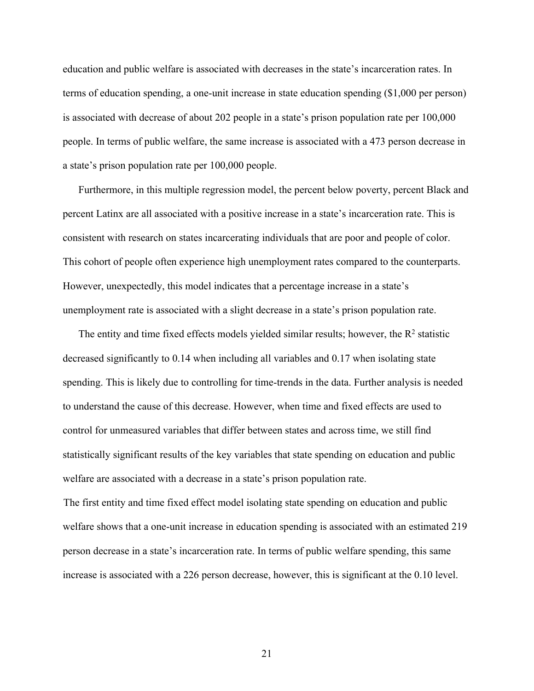education and public welfare is associated with decreases in the state's incarceration rates. In terms of education spending, a one-unit increase in state education spending (\$1,000 per person) is associated with decrease of about 202 people in a state's prison population rate per 100,000 people. In terms of public welfare, the same increase is associated with a 473 person decrease in a state's prison population rate per 100,000 people.

Furthermore, in this multiple regression model, the percent below poverty, percent Black and percent Latinx are all associated with a positive increase in a state's incarceration rate. This is consistent with research on states incarcerating individuals that are poor and people of color. This cohort of people often experience high unemployment rates compared to the counterparts. However, unexpectedly, this model indicates that a percentage increase in a state's unemployment rate is associated with a slight decrease in a state's prison population rate.

The entity and time fixed effects models yielded similar results; however, the  $R<sup>2</sup>$  statistic decreased significantly to 0.14 when including all variables and 0.17 when isolating state spending. This is likely due to controlling for time-trends in the data. Further analysis is needed to understand the cause of this decrease. However, when time and fixed effects are used to control for unmeasured variables that differ between states and across time, we still find statistically significant results of the key variables that state spending on education and public welfare are associated with a decrease in a state's prison population rate.

The first entity and time fixed effect model isolating state spending on education and public welfare shows that a one-unit increase in education spending is associated with an estimated 219 person decrease in a state's incarceration rate. In terms of public welfare spending, this same increase is associated with a 226 person decrease, however, this is significant at the 0.10 level.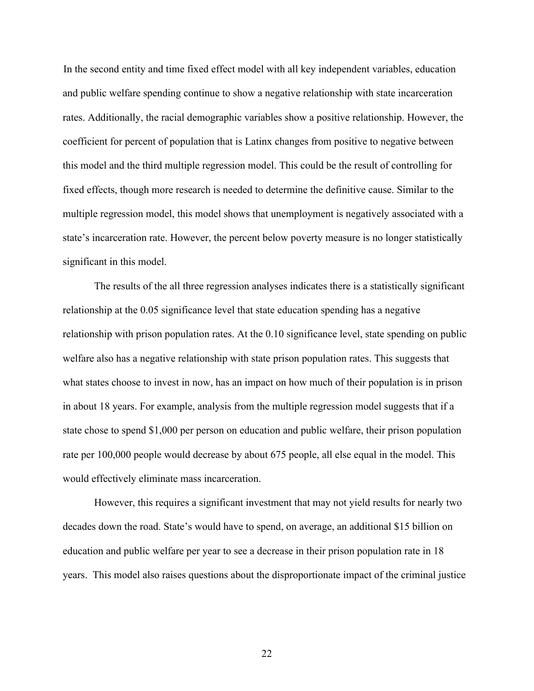In the second entity and time fixed effect model with all key independent variables, education and public welfare spending continue to show a negative relationship with state incarceration rates. Additionally, the racial demographic variables show a positive relationship. However, the coefficient for percent of population that is Latinx changes from positive to negative between this model and the third multiple regression model. This could be the result of controlling for fixed effects, though more research is needed to determine the definitive cause. Similar to the multiple regression model, this model shows that unemployment is negatively associated with a state's incarceration rate. However, the percent below poverty measure is no longer statistically significant in this model.

The results of the all three regression analyses indicates there is a statistically significant relationship at the 0.05 significance level that state education spending has a negative relationship with prison population rates. At the 0.10 significance level, state spending on public welfare also has a negative relationship with state prison population rates. This suggests that what states choose to invest in now, has an impact on how much of their population is in prison in about 18 years. For example, analysis from the multiple regression model suggests that if a state chose to spend \$1,000 per person on education and public welfare, their prison population rate per 100,000 people would decrease by about 675 people, all else equal in the model. This would effectively eliminate mass incarceration.

However, this requires a significant investment that may not yield results for nearly two decades down the road. State's would have to spend, on average, an additional \$15 billion on education and public welfare per year to see a decrease in their prison population rate in 18 years. This model also raises questions about the disproportionate impact of the criminal justice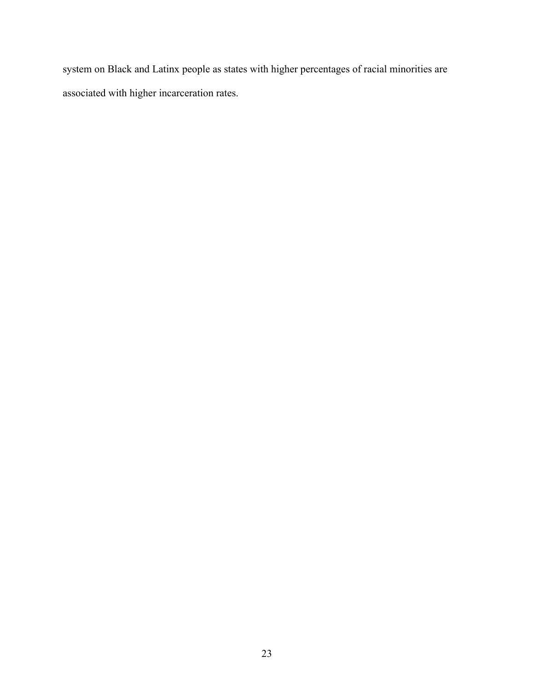system on Black and Latinx people as states with higher percentages of racial minorities are associated with higher incarceration rates.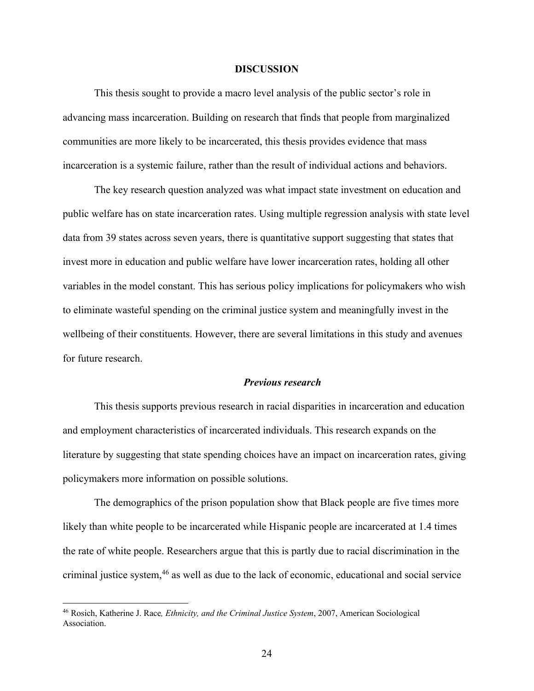#### **DISCUSSION**

This thesis sought to provide a macro level analysis of the public sector's role in advancing mass incarceration. Building on research that finds that people from marginalized communities are more likely to be incarcerated, this thesis provides evidence that mass incarceration is a systemic failure, rather than the result of individual actions and behaviors.

The key research question analyzed was what impact state investment on education and public welfare has on state incarceration rates. Using multiple regression analysis with state level data from 39 states across seven years, there is quantitative support suggesting that states that invest more in education and public welfare have lower incarceration rates, holding all other variables in the model constant. This has serious policy implications for policymakers who wish to eliminate wasteful spending on the criminal justice system and meaningfully invest in the wellbeing of their constituents. However, there are several limitations in this study and avenues for future research.

#### *Previous research*

This thesis supports previous research in racial disparities in incarceration and education and employment characteristics of incarcerated individuals. This research expands on the literature by suggesting that state spending choices have an impact on incarceration rates, giving policymakers more information on possible solutions.

The demographics of the prison population show that Black people are five times more likely than white people to be incarcerated while Hispanic people are incarcerated at 1.4 times the rate of white people. Researchers argue that this is partly due to racial discrimination in the criminal justice system,46 as well as due to the lack of economic, educational and social service

<sup>46</sup> Rosich, Katherine J. Race*, Ethnicity, and the Criminal Justice System*, 2007, American Sociological Association.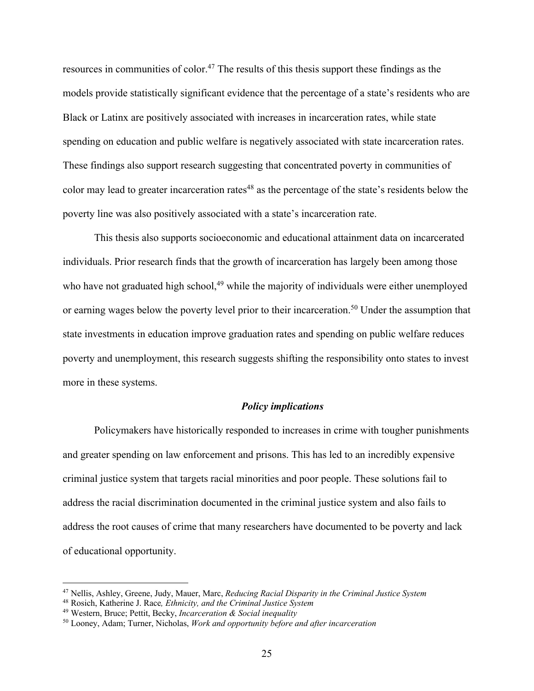resources in communities of color.<sup>47</sup> The results of this thesis support these findings as the models provide statistically significant evidence that the percentage of a state's residents who are Black or Latinx are positively associated with increases in incarceration rates, while state spending on education and public welfare is negatively associated with state incarceration rates. These findings also support research suggesting that concentrated poverty in communities of color may lead to greater incarceration rates<sup>48</sup> as the percentage of the state's residents below the poverty line was also positively associated with a state's incarceration rate.

This thesis also supports socioeconomic and educational attainment data on incarcerated individuals. Prior research finds that the growth of incarceration has largely been among those who have not graduated high school,<sup>49</sup> while the majority of individuals were either unemployed or earning wages below the poverty level prior to their incarceration.<sup>50</sup> Under the assumption that state investments in education improve graduation rates and spending on public welfare reduces poverty and unemployment, this research suggests shifting the responsibility onto states to invest more in these systems.

#### *Policy implications*

Policymakers have historically responded to increases in crime with tougher punishments and greater spending on law enforcement and prisons. This has led to an incredibly expensive criminal justice system that targets racial minorities and poor people. These solutions fail to address the racial discrimination documented in the criminal justice system and also fails to address the root causes of crime that many researchers have documented to be poverty and lack of educational opportunity.

<sup>47</sup> Nellis, Ashley, Greene, Judy, Mauer, Marc, *Reducing Racial Disparity in the Criminal Justice System*

<sup>48</sup> Rosich, Katherine J. Race*, Ethnicity, and the Criminal Justice System*

<sup>49</sup> Western, Bruce; Pettit, Becky, *Incarceration & Social inequality*

<sup>50</sup> Looney, Adam; Turner, Nicholas, *Work and opportunity before and after incarceration*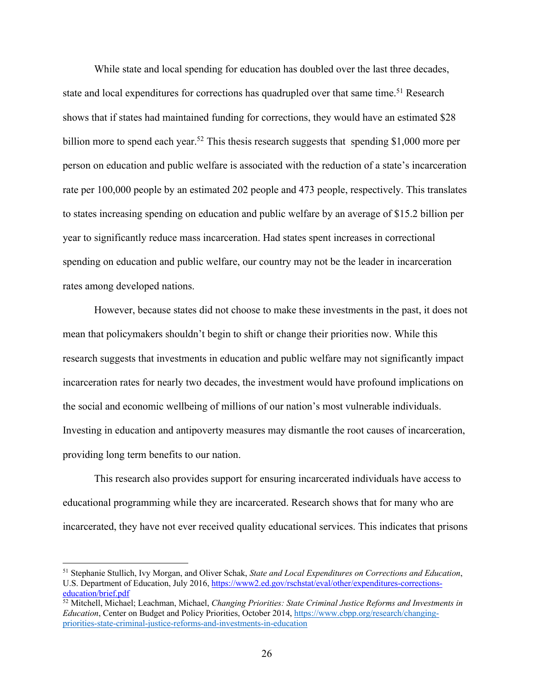While state and local spending for education has doubled over the last three decades, state and local expenditures for corrections has quadrupled over that same time.<sup>51</sup> Research shows that if states had maintained funding for corrections, they would have an estimated \$28 billion more to spend each year.<sup>52</sup> This thesis research suggests that spending \$1,000 more per person on education and public welfare is associated with the reduction of a state's incarceration rate per 100,000 people by an estimated 202 people and 473 people, respectively. This translates to states increasing spending on education and public welfare by an average of \$15.2 billion per year to significantly reduce mass incarceration. Had states spent increases in correctional spending on education and public welfare, our country may not be the leader in incarceration rates among developed nations.

However, because states did not choose to make these investments in the past, it does not mean that policymakers shouldn't begin to shift or change their priorities now. While this research suggests that investments in education and public welfare may not significantly impact incarceration rates for nearly two decades, the investment would have profound implications on the social and economic wellbeing of millions of our nation's most vulnerable individuals. Investing in education and antipoverty measures may dismantle the root causes of incarceration, providing long term benefits to our nation.

This research also provides support for ensuring incarcerated individuals have access to educational programming while they are incarcerated. Research shows that for many who are incarcerated, they have not ever received quality educational services. This indicates that prisons

<sup>51</sup> Stephanie Stullich, Ivy Morgan, and Oliver Schak, *State and Local Expenditures on Corrections and Education*, U.S. Department of Education, July 2016, https://www2.ed.gov/rschstat/eval/other/expenditures-correctionseducation/brief.pdf

<sup>52</sup> Mitchell, Michael; Leachman, Michael, *Changing Priorities: State Criminal Justice Reforms and Investments in Education*, Center on Budget and Policy Priorities, October 2014, https://www.cbpp.org/research/changingpriorities-state-criminal-justice-reforms-and-investments-in-education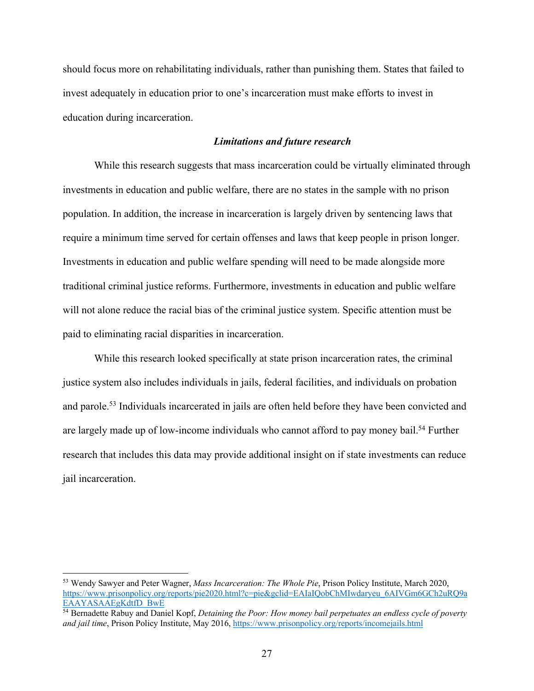should focus more on rehabilitating individuals, rather than punishing them. States that failed to invest adequately in education prior to one's incarceration must make efforts to invest in education during incarceration.

## *Limitations and future research*

While this research suggests that mass incarceration could be virtually eliminated through investments in education and public welfare, there are no states in the sample with no prison population. In addition, the increase in incarceration is largely driven by sentencing laws that require a minimum time served for certain offenses and laws that keep people in prison longer. Investments in education and public welfare spending will need to be made alongside more traditional criminal justice reforms. Furthermore, investments in education and public welfare will not alone reduce the racial bias of the criminal justice system. Specific attention must be paid to eliminating racial disparities in incarceration.

While this research looked specifically at state prison incarceration rates, the criminal justice system also includes individuals in jails, federal facilities, and individuals on probation and parole.<sup>53</sup> Individuals incarcerated in jails are often held before they have been convicted and are largely made up of low-income individuals who cannot afford to pay money bail.<sup>54</sup> Further research that includes this data may provide additional insight on if state investments can reduce jail incarceration.

<sup>53</sup> Wendy Sawyer and Peter Wagner, *Mass Incarceration: The Whole Pie*, Prison Policy Institute, March 2020, https://www.prisonpolicy.org/reports/pie2020.html?c=pie&gclid=EAIaIQobChMIwdaryeu\_6AIVGm6GCh2uRQ9a EAAYASAAEgKdtfD\_BwE

<sup>54</sup> Bernadette Rabuy and Daniel Kopf, *Detaining the Poor: How money bail perpetuates an endless cycle of poverty and jail time*, Prison Policy Institute, May 2016, https://www.prisonpolicy.org/reports/incomejails.html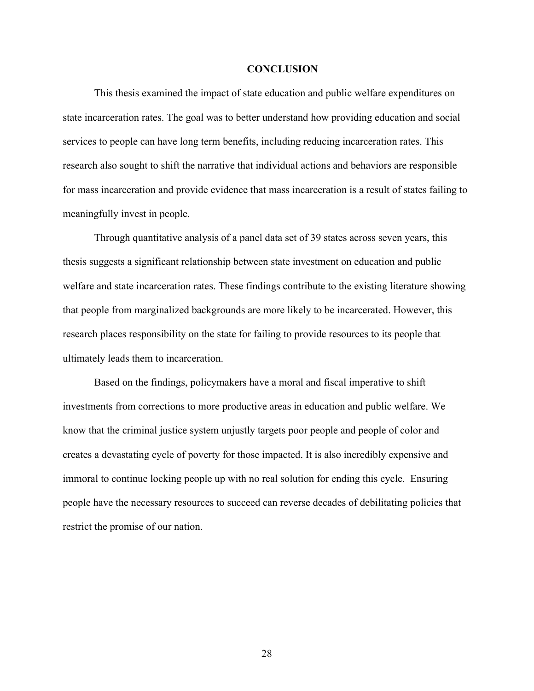#### **CONCLUSION**

This thesis examined the impact of state education and public welfare expenditures on state incarceration rates. The goal was to better understand how providing education and social services to people can have long term benefits, including reducing incarceration rates. This research also sought to shift the narrative that individual actions and behaviors are responsible for mass incarceration and provide evidence that mass incarceration is a result of states failing to meaningfully invest in people.

Through quantitative analysis of a panel data set of 39 states across seven years, this thesis suggests a significant relationship between state investment on education and public welfare and state incarceration rates. These findings contribute to the existing literature showing that people from marginalized backgrounds are more likely to be incarcerated. However, this research places responsibility on the state for failing to provide resources to its people that ultimately leads them to incarceration.

Based on the findings, policymakers have a moral and fiscal imperative to shift investments from corrections to more productive areas in education and public welfare. We know that the criminal justice system unjustly targets poor people and people of color and creates a devastating cycle of poverty for those impacted. It is also incredibly expensive and immoral to continue locking people up with no real solution for ending this cycle. Ensuring people have the necessary resources to succeed can reverse decades of debilitating policies that restrict the promise of our nation.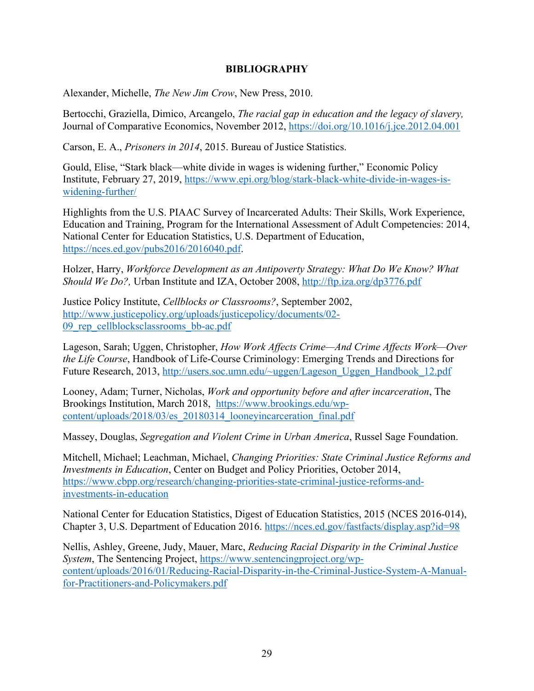# **BIBLIOGRAPHY**

Alexander, Michelle, *The New Jim Crow*, New Press, 2010.

Bertocchi, Graziella, Dimico, Arcangelo, *The racial gap in education and the legacy of slavery,* Journal of Comparative Economics, November 2012, https://doi.org/10.1016/j.jce.2012.04.001

Carson, E. A., *Prisoners in 2014*, 2015. Bureau of Justice Statistics.

Gould, Elise, "Stark black—white divide in wages is widening further," Economic Policy Institute, February 27, 2019, https://www.epi.org/blog/stark-black-white-divide-in-wages-iswidening-further/

Highlights from the U.S. PIAAC Survey of Incarcerated Adults: Their Skills, Work Experience, Education and Training, Program for the International Assessment of Adult Competencies: 2014, National Center for Education Statistics, U.S. Department of Education, https://nces.ed.gov/pubs2016/2016040.pdf.

Holzer, Harry, *Workforce Development as an Antipoverty Strategy: What Do We Know? What Should We Do?,* Urban Institute and IZA, October 2008, http://ftp.iza.org/dp3776.pdf

Justice Policy Institute, *Cellblocks or Classrooms?*, September 2002, http://www.justicepolicy.org/uploads/justicepolicy/documents/02- 09 rep cellblocksclassrooms bb-ac.pdf

Lageson, Sarah; Uggen, Christopher, *How Work Affects Crime—And Crime Affects Work—Over the Life Course*, Handbook of Life-Course Criminology: Emerging Trends and Directions for Future Research, 2013, http://users.soc.umn.edu/~uggen/Lageson\_Uggen\_Handbook\_12.pdf

Looney, Adam; Turner, Nicholas, *Work and opportunity before and after incarceration*, The Brookings Institution, March 2018, https://www.brookings.edu/wpcontent/uploads/2018/03/es\_20180314\_looneyincarceration\_final.pdf

Massey, Douglas, *Segregation and Violent Crime in Urban America*, Russel Sage Foundation.

Mitchell, Michael; Leachman, Michael, *Changing Priorities: State Criminal Justice Reforms and Investments in Education*, Center on Budget and Policy Priorities, October 2014, https://www.cbpp.org/research/changing-priorities-state-criminal-justice-reforms-andinvestments-in-education

National Center for Education Statistics, Digest of Education Statistics, 2015 (NCES 2016-014), Chapter 3, U.S. Department of Education 2016. https://nces.ed.gov/fastfacts/display.asp?id=98

Nellis, Ashley, Greene, Judy, Mauer, Marc, *Reducing Racial Disparity in the Criminal Justice System*, The Sentencing Project, https://www.sentencingproject.org/wpcontent/uploads/2016/01/Reducing-Racial-Disparity-in-the-Criminal-Justice-System-A-Manualfor-Practitioners-and-Policymakers.pdf